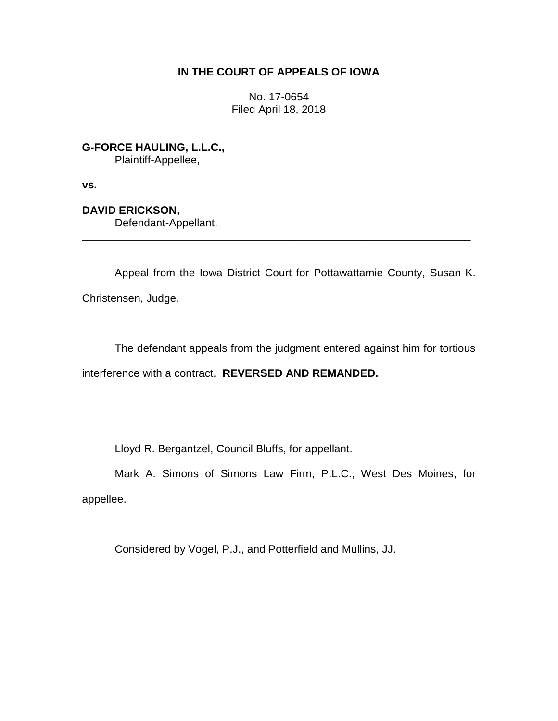# **IN THE COURT OF APPEALS OF IOWA**

No. 17-0654 Filed April 18, 2018

**G-FORCE HAULING, L.L.C.,**

Plaintiff-Appellee,

**vs.**

**DAVID ERICKSON,** Defendant-Appellant.

Appeal from the Iowa District Court for Pottawattamie County, Susan K. Christensen, Judge.

\_\_\_\_\_\_\_\_\_\_\_\_\_\_\_\_\_\_\_\_\_\_\_\_\_\_\_\_\_\_\_\_\_\_\_\_\_\_\_\_\_\_\_\_\_\_\_\_\_\_\_\_\_\_\_\_\_\_\_\_\_\_\_\_

The defendant appeals from the judgment entered against him for tortious interference with a contract. **REVERSED AND REMANDED.**

Lloyd R. Bergantzel, Council Bluffs, for appellant.

Mark A. Simons of Simons Law Firm, P.L.C., West Des Moines, for appellee.

Considered by Vogel, P.J., and Potterfield and Mullins, JJ.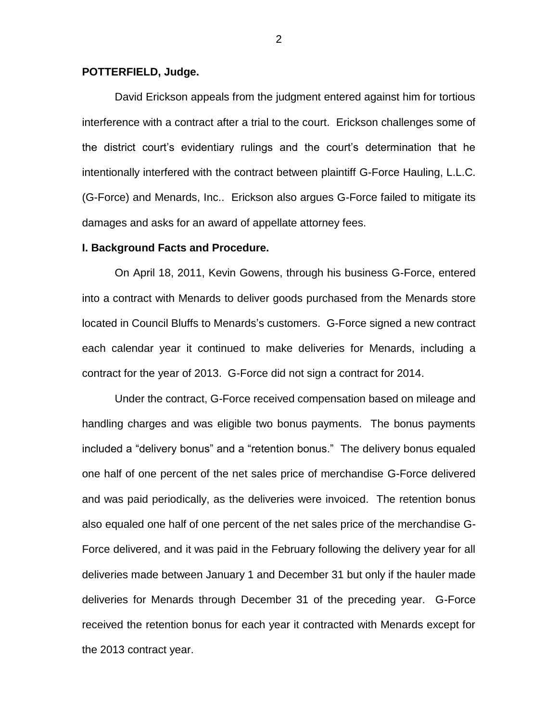### **POTTERFIELD, Judge.**

David Erickson appeals from the judgment entered against him for tortious interference with a contract after a trial to the court. Erickson challenges some of the district court's evidentiary rulings and the court's determination that he intentionally interfered with the contract between plaintiff G-Force Hauling, L.L.C. (G-Force) and Menards, Inc.. Erickson also argues G-Force failed to mitigate its damages and asks for an award of appellate attorney fees.

#### **I. Background Facts and Procedure.**

On April 18, 2011, Kevin Gowens, through his business G-Force, entered into a contract with Menards to deliver goods purchased from the Menards store located in Council Bluffs to Menards's customers. G-Force signed a new contract each calendar year it continued to make deliveries for Menards, including a contract for the year of 2013. G-Force did not sign a contract for 2014.

Under the contract, G-Force received compensation based on mileage and handling charges and was eligible two bonus payments. The bonus payments included a "delivery bonus" and a "retention bonus." The delivery bonus equaled one half of one percent of the net sales price of merchandise G-Force delivered and was paid periodically, as the deliveries were invoiced. The retention bonus also equaled one half of one percent of the net sales price of the merchandise G-Force delivered, and it was paid in the February following the delivery year for all deliveries made between January 1 and December 31 but only if the hauler made deliveries for Menards through December 31 of the preceding year. G-Force received the retention bonus for each year it contracted with Menards except for the 2013 contract year.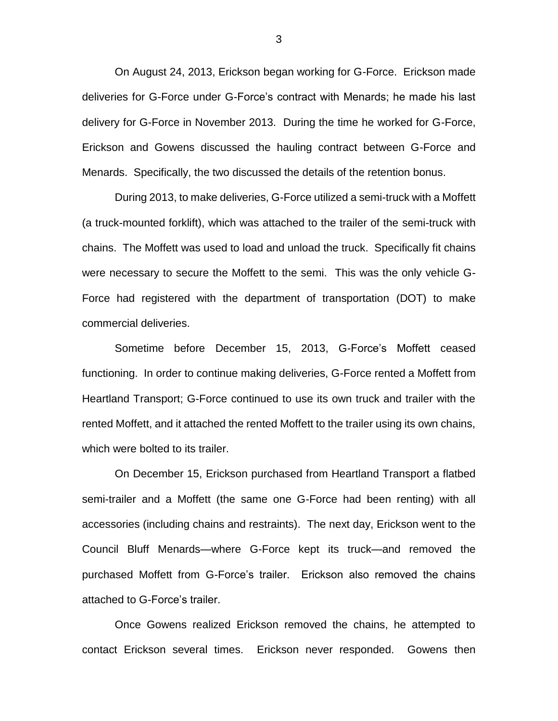On August 24, 2013, Erickson began working for G-Force. Erickson made deliveries for G-Force under G-Force's contract with Menards; he made his last delivery for G-Force in November 2013. During the time he worked for G-Force, Erickson and Gowens discussed the hauling contract between G-Force and Menards. Specifically, the two discussed the details of the retention bonus.

During 2013, to make deliveries, G-Force utilized a semi-truck with a Moffett (a truck-mounted forklift), which was attached to the trailer of the semi-truck with chains. The Moffett was used to load and unload the truck. Specifically fit chains were necessary to secure the Moffett to the semi. This was the only vehicle G-Force had registered with the department of transportation (DOT) to make commercial deliveries.

Sometime before December 15, 2013, G-Force's Moffett ceased functioning. In order to continue making deliveries, G-Force rented a Moffett from Heartland Transport; G-Force continued to use its own truck and trailer with the rented Moffett, and it attached the rented Moffett to the trailer using its own chains, which were bolted to its trailer.

On December 15, Erickson purchased from Heartland Transport a flatbed semi-trailer and a Moffett (the same one G-Force had been renting) with all accessories (including chains and restraints). The next day, Erickson went to the Council Bluff Menards—where G-Force kept its truck—and removed the purchased Moffett from G-Force's trailer. Erickson also removed the chains attached to G-Force's trailer.

Once Gowens realized Erickson removed the chains, he attempted to contact Erickson several times. Erickson never responded. Gowens then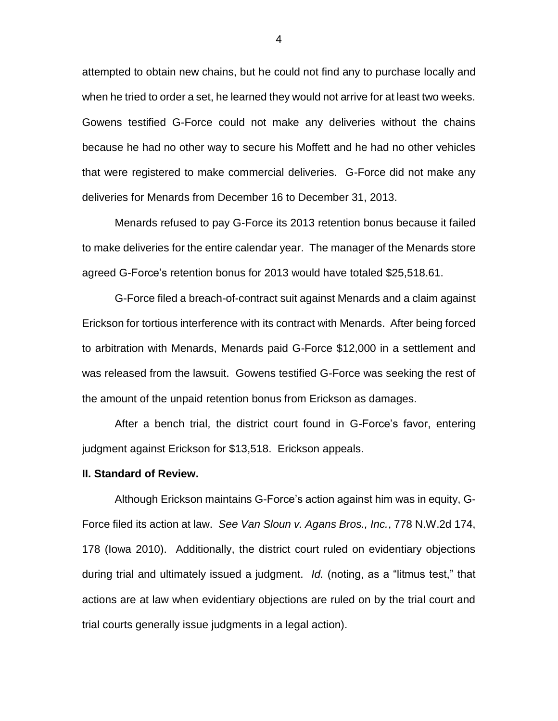attempted to obtain new chains, but he could not find any to purchase locally and when he tried to order a set, he learned they would not arrive for at least two weeks. Gowens testified G-Force could not make any deliveries without the chains because he had no other way to secure his Moffett and he had no other vehicles that were registered to make commercial deliveries. G-Force did not make any deliveries for Menards from December 16 to December 31, 2013.

Menards refused to pay G-Force its 2013 retention bonus because it failed to make deliveries for the entire calendar year. The manager of the Menards store agreed G-Force's retention bonus for 2013 would have totaled \$25,518.61.

G-Force filed a breach-of-contract suit against Menards and a claim against Erickson for tortious interference with its contract with Menards. After being forced to arbitration with Menards, Menards paid G-Force \$12,000 in a settlement and was released from the lawsuit. Gowens testified G-Force was seeking the rest of the amount of the unpaid retention bonus from Erickson as damages.

After a bench trial, the district court found in G-Force's favor, entering judgment against Erickson for \$13,518. Erickson appeals.

#### **II. Standard of Review.**

Although Erickson maintains G-Force's action against him was in equity, G-Force filed its action at law. *See Van Sloun v. Agans Bros., Inc.*, 778 N.W.2d 174, 178 (Iowa 2010). Additionally, the district court ruled on evidentiary objections during trial and ultimately issued a judgment. *Id.* (noting, as a "litmus test," that actions are at law when evidentiary objections are ruled on by the trial court and trial courts generally issue judgments in a legal action).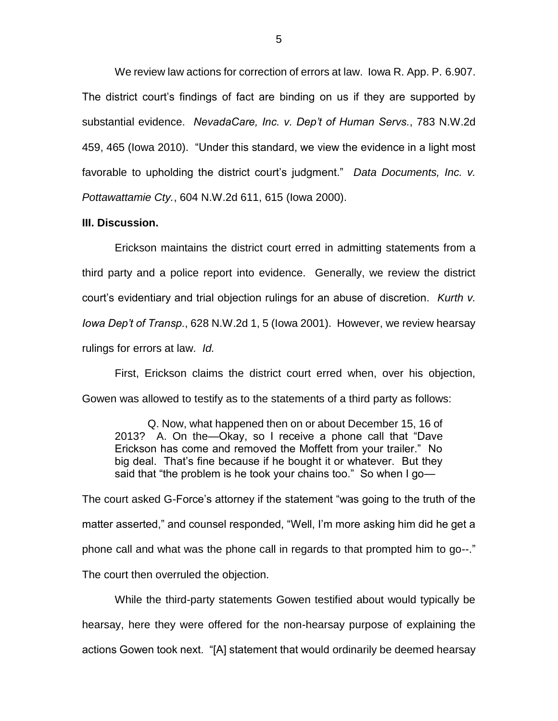We review law actions for correction of errors at law. Iowa R. App. P. 6.907. The district court's findings of fact are binding on us if they are supported by substantial evidence. *NevadaCare, Inc. v. Dep't of Human Servs.*, 783 N.W.2d 459, 465 (Iowa 2010). "Under this standard, we view the evidence in a light most favorable to upholding the district court's judgment." *Data Documents, Inc. v. Pottawattamie Cty.*, 604 N.W.2d 611, 615 (Iowa 2000).

### **III. Discussion.**

Erickson maintains the district court erred in admitting statements from a third party and a police report into evidence. Generally, we review the district court's evidentiary and trial objection rulings for an abuse of discretion. *Kurth v. Iowa Dep't of Transp.*, 628 N.W.2d 1, 5 (Iowa 2001). However, we review hearsay rulings for errors at law. *Id.* 

First, Erickson claims the district court erred when, over his objection, Gowen was allowed to testify as to the statements of a third party as follows:

Q. Now, what happened then on or about December 15, 16 of 2013? A. On the—Okay, so I receive a phone call that "Dave Erickson has come and removed the Moffett from your trailer." No big deal. That's fine because if he bought it or whatever. But they said that "the problem is he took your chains too." So when I go—

The court asked G-Force's attorney if the statement "was going to the truth of the matter asserted," and counsel responded, "Well, I'm more asking him did he get a phone call and what was the phone call in regards to that prompted him to go--." The court then overruled the objection.

While the third-party statements Gowen testified about would typically be hearsay, here they were offered for the non-hearsay purpose of explaining the actions Gowen took next. "[A] statement that would ordinarily be deemed hearsay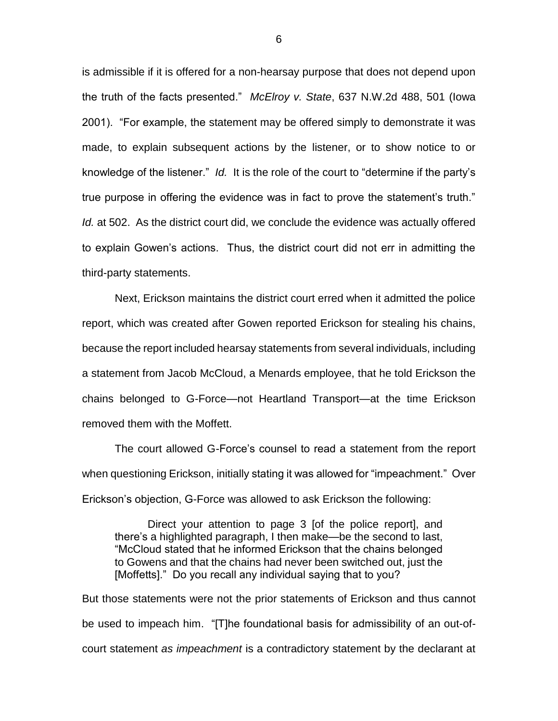is admissible if it is offered for a non-hearsay purpose that does not depend upon the truth of the facts presented." *McElroy v. State*, 637 N.W.2d 488, 501 (Iowa 2001). "For example, the statement may be offered simply to demonstrate it was made, to explain subsequent actions by the listener, or to show notice to or knowledge of the listener." *Id.* It is the role of the court to "determine if the party's true purpose in offering the evidence was in fact to prove the statement's truth." *Id.* at 502. As the district court did, we conclude the evidence was actually offered to explain Gowen's actions. Thus, the district court did not err in admitting the third-party statements.

Next, Erickson maintains the district court erred when it admitted the police report, which was created after Gowen reported Erickson for stealing his chains, because the report included hearsay statements from several individuals, including a statement from Jacob McCloud, a Menards employee, that he told Erickson the chains belonged to G-Force—not Heartland Transport—at the time Erickson removed them with the Moffett.

The court allowed G-Force's counsel to read a statement from the report when questioning Erickson, initially stating it was allowed for "impeachment." Over Erickson's objection, G-Force was allowed to ask Erickson the following:

Direct your attention to page 3 [of the police report], and there's a highlighted paragraph, I then make—be the second to last, "McCloud stated that he informed Erickson that the chains belonged to Gowens and that the chains had never been switched out, just the [Moffetts]." Do you recall any individual saying that to you?

But those statements were not the prior statements of Erickson and thus cannot be used to impeach him. "[T]he foundational basis for admissibility of an out-ofcourt statement *as impeachment* is a contradictory statement by the declarant at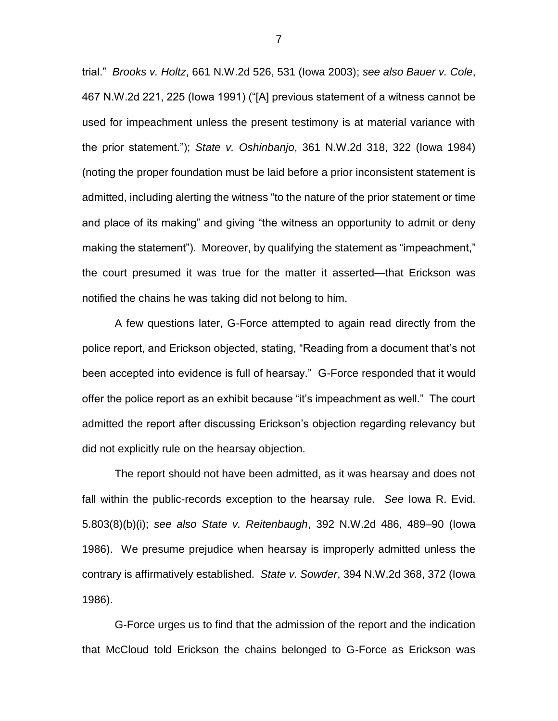trial." *Brooks v. Holtz*, 661 N.W.2d 526, 531 (Iowa 2003); *see also Bauer v. Cole*, 467 N.W.2d 221, 225 (Iowa 1991) ("[A] previous statement of a witness cannot be used for impeachment unless the present testimony is at material variance with the prior statement."); *State v. Oshinbanjo*, 361 N.W.2d 318, 322 (Iowa 1984) (noting the proper foundation must be laid before a prior inconsistent statement is admitted, including alerting the witness "to the nature of the prior statement or time and place of its making" and giving "the witness an opportunity to admit or deny making the statement"). Moreover, by qualifying the statement as "impeachment," the court presumed it was true for the matter it asserted—that Erickson was notified the chains he was taking did not belong to him.

A few questions later, G-Force attempted to again read directly from the police report, and Erickson objected, stating, "Reading from a document that's not been accepted into evidence is full of hearsay." G-Force responded that it would offer the police report as an exhibit because "it's impeachment as well." The court admitted the report after discussing Erickson's objection regarding relevancy but did not explicitly rule on the hearsay objection.

The report should not have been admitted, as it was hearsay and does not fall within the public-records exception to the hearsay rule. *See* Iowa R. Evid. 5.803(8)(b)(i); *see also State v. Reitenbaugh*, 392 N.W.2d 486, 489–90 (Iowa 1986). We presume prejudice when hearsay is improperly admitted unless the contrary is affirmatively established. *State v. Sowder*, 394 N.W.2d 368, 372 (Iowa 1986).

G-Force urges us to find that the admission of the report and the indication that McCloud told Erickson the chains belonged to G-Force as Erickson was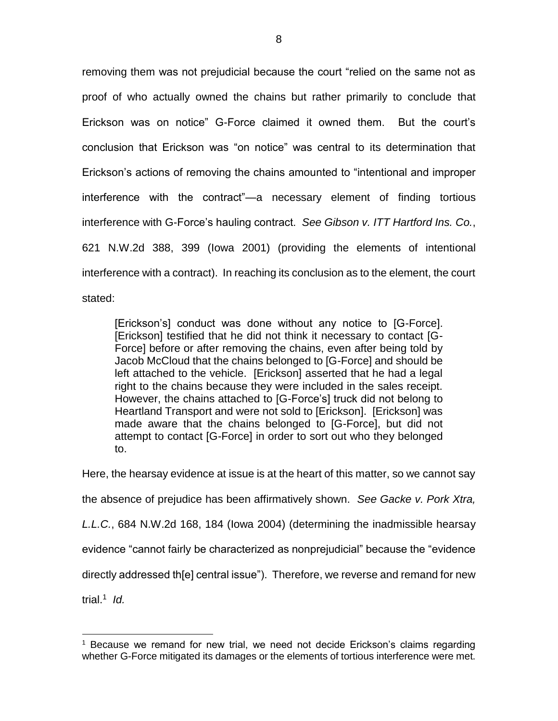removing them was not prejudicial because the court "relied on the same not as proof of who actually owned the chains but rather primarily to conclude that Erickson was on notice" G-Force claimed it owned them. But the court's conclusion that Erickson was "on notice" was central to its determination that Erickson's actions of removing the chains amounted to "intentional and improper interference with the contract"—a necessary element of finding tortious interference with G-Force's hauling contract. *See Gibson v. ITT Hartford Ins. Co.*, 621 N.W.2d 388, 399 (Iowa 2001) (providing the elements of intentional interference with a contract). In reaching its conclusion as to the element, the court stated:

[Erickson's] conduct was done without any notice to [G-Force]. [Erickson] testified that he did not think it necessary to contact [G-Force] before or after removing the chains, even after being told by Jacob McCloud that the chains belonged to [G-Force] and should be left attached to the vehicle. [Erickson] asserted that he had a legal right to the chains because they were included in the sales receipt. However, the chains attached to [G-Force's] truck did not belong to Heartland Transport and were not sold to [Erickson]. [Erickson] was made aware that the chains belonged to [G-Force], but did not attempt to contact [G-Force] in order to sort out who they belonged to.

Here, the hearsay evidence at issue is at the heart of this matter, so we cannot say the absence of prejudice has been affirmatively shown. *See Gacke v. Pork Xtra, L.L.C.*, 684 N.W.2d 168, 184 (Iowa 2004) (determining the inadmissible hearsay evidence "cannot fairly be characterized as nonprejudicial" because the "evidence directly addressed th[e] central issue"). Therefore, we reverse and remand for new trial. 1 *Id.*

 $\overline{a}$ 

Because we remand for new trial, we need not decide Erickson's claims regarding whether G-Force mitigated its damages or the elements of tortious interference were met.